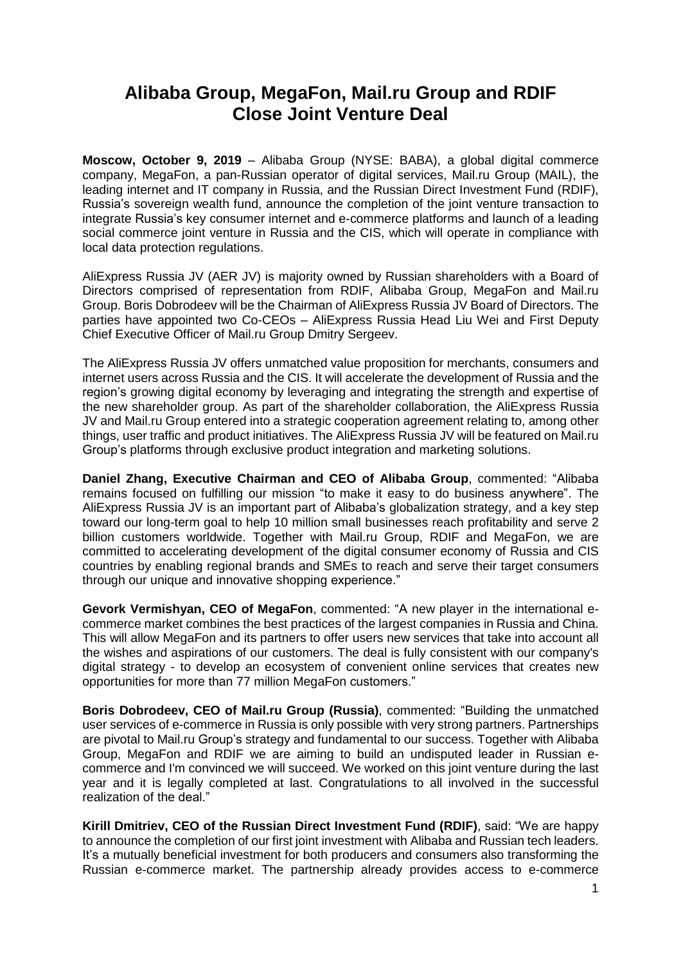# **Alibaba Group, MegaFon, Mail.ru Group and RDIF Close Joint Venture Deal**

**Moscow, October 9, 2019** – Alibaba Group (NYSE: BABA), a global digital commerce company, MegaFon, a pan-Russian operator of digital services, Mail.ru Group (MAIL), the leading internet and IT company in Russia, and the Russian Direct Investment Fund (RDIF), Russia's sovereign wealth fund, announce the completion of the joint venture transaction to integrate Russia's key consumer internet and e-commerce platforms and launch of a leading social commerce joint venture in Russia and the CIS, which will operate in compliance with local data protection regulations.

AliExpress Russia JV (AER JV) is majority owned by Russian shareholders with a Board of Directors comprised of representation from RDIF, Alibaba Group, MegaFon and Mail.ru Group. Boris Dobrodeev will be the Chairman of AliExpress Russia JV Board of Directors. The parties have appointed two Co-CEOs – AliExpress Russia Head Liu Wei and First Deputy Chief Executive Officer of Mail.ru Group Dmitry Sergeev.

The AliExpress Russia JV offers unmatched value proposition for merchants, consumers and internet users across Russia and the CIS. It will accelerate the development of Russia and the region's growing digital economy by leveraging and integrating the strength and expertise of the new shareholder group. As part of the shareholder collaboration, the AliExpress Russia JV and Mail.ru Group entered into a strategic cooperation agreement relating to, among other things, user traffic and product initiatives. The AliExpress Russia JV will be featured on Mail.ru Group's platforms through exclusive product integration and marketing solutions.

**Daniel Zhang, Executive Chairman and CEO of Alibaba Group**, commented: "Alibaba remains focused on fulfilling our mission "to make it easy to do business anywhere". The AliExpress Russia JV is an important part of Alibaba's globalization strategy, and a key step toward our long-term goal to help 10 million small businesses reach profitability and serve 2 billion customers worldwide. Together with Mail.ru Group, RDIF and MegaFon, we are committed to accelerating development of the digital consumer economy of Russia and CIS countries by enabling regional brands and SMEs to reach and serve their target consumers through our unique and innovative shopping experience."

**Gevork Vermishyan, CEO of MegaFon**, commented: "A new player in the international ecommerce market combines the best practices of the largest companies in Russia and China. This will allow MegaFon and its partners to offer users new services that take into account all the wishes and aspirations of our customers. The deal is fully consistent with our company's digital strategy - to develop an ecosystem of convenient online services that creates new opportunities for more than 77 million MegaFon customers."

**Boris Dobrodeev, CEO of Mail.ru Group (Russia)**, commented: "Building the unmatched user services of e-commerce in Russia is only possible with very strong partners. Partnerships are pivotal to Mail.ru Group's strategy and fundamental to our success. Together with Alibaba Group, MegaFon and RDIF we are aiming to build an undisputed leader in Russian ecommerce and I'm convinced we will succeed. We worked on this joint venture during the last year and it is legally completed at last. Congratulations to all involved in the successful realization of the deal."

**Kirill Dmitriev, CEO of the Russian Direct Investment Fund (RDIF)**, said: "We are happy to announce the completion of our first joint investment with Alibaba and Russian tech leaders. It's a mutually beneficial investment for both producers and consumers also transforming the Russian e-commerce market. The partnership already provides access to e-commerce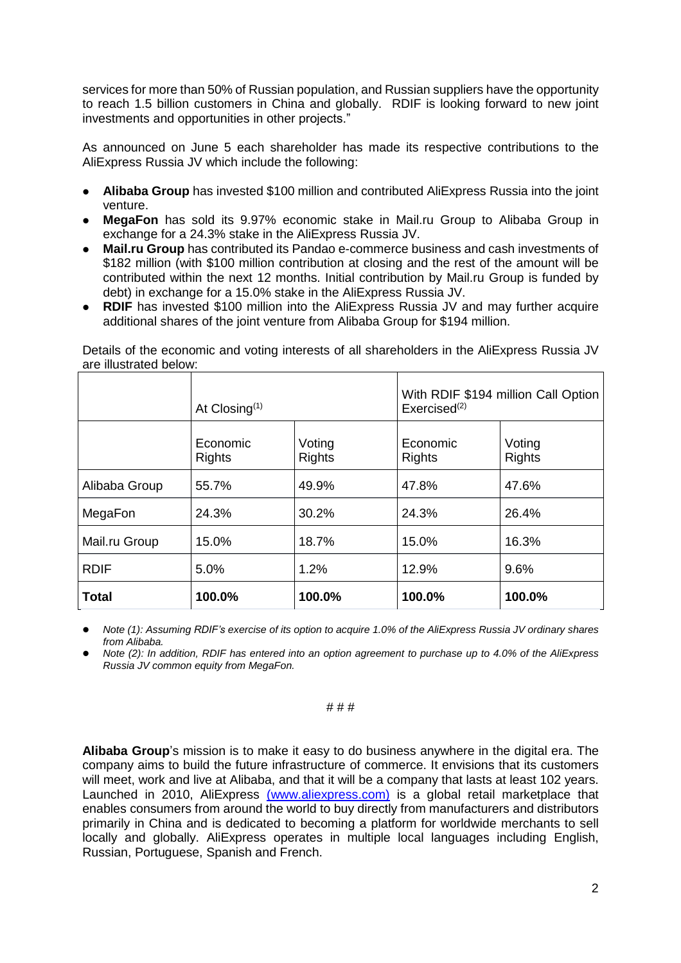services for more than 50% of Russian population, and Russian suppliers have the opportunity to reach 1.5 billion customers in China and globally. RDIF is looking forward to new joint investments and opportunities in other projects."

As announced on June 5 each shareholder has made its respective contributions to the AliExpress Russia JV which include the following:

- **Alibaba Group** has invested \$100 million and contributed AliExpress Russia into the joint venture.
- **MegaFon** has sold its 9.97% economic stake in Mail.ru Group to Alibaba Group in exchange for a 24.3% stake in the AliExpress Russia JV.
- **Mail.ru Group** has contributed its Pandao e-commerce business and cash investments of \$182 million (with \$100 million contribution at closing and the rest of the amount will be contributed within the next 12 months. Initial contribution by Mail.ru Group is funded by debt) in exchange for a 15.0% stake in the AliExpress Russia JV.
- **RDIF** has invested \$100 million into the AliExpress Russia JV and may further acquire additional shares of the joint venture from Alibaba Group for \$194 million.

|               | At Closing <sup>(1)</sup> |                         | With RDIF \$194 million Call Option<br>Exercise d <sup>(2)</sup> |                         |
|---------------|---------------------------|-------------------------|------------------------------------------------------------------|-------------------------|
|               | Economic<br><b>Rights</b> | Voting<br><b>Rights</b> | Economic<br><b>Rights</b>                                        | Voting<br><b>Rights</b> |
| Alibaba Group | 55.7%                     | 49.9%                   | 47.8%                                                            | 47.6%                   |
| MegaFon       | 24.3%                     | 30.2%                   | 24.3%                                                            | 26.4%                   |
| Mail.ru Group | 15.0%                     | 18.7%                   | 15.0%                                                            | 16.3%                   |
| <b>RDIF</b>   | 5.0%                      | 1.2%                    | 12.9%                                                            | 9.6%                    |
| <b>Total</b>  | 100.0%                    | 100.0%                  | 100.0%                                                           | 100.0%                  |

Details of the economic and voting interests of all shareholders in the AliExpress Russia JV are illustrated below:

Note (1): Assuming RDIF's exercise of its option to acquire 1.0% of the AliExpress Russia JV ordinary shares *from Alibaba.*

Note (2): In addition, RDIF has entered into an option agreement to purchase up to 4.0% of the AliExpress *Russia JV common equity from MegaFon.*

### # # #

**Alibaba Group**'s mission is to make it easy to do business anywhere in the digital era. The company aims to build the future infrastructure of commerce. It envisions that its customers will meet, work and live at Alibaba, and that it will be a company that lasts at least 102 years. Launched in 2010, AliExpress (www.aliexpress.com) is a global retail marketplace that enables consumers from around the world to buy directly from manufacturers and distributors primarily in China and is dedicated to becoming a platform for worldwide merchants to sell locally and globally. AliExpress operates in multiple local languages including English, Russian, Portuguese, Spanish and French.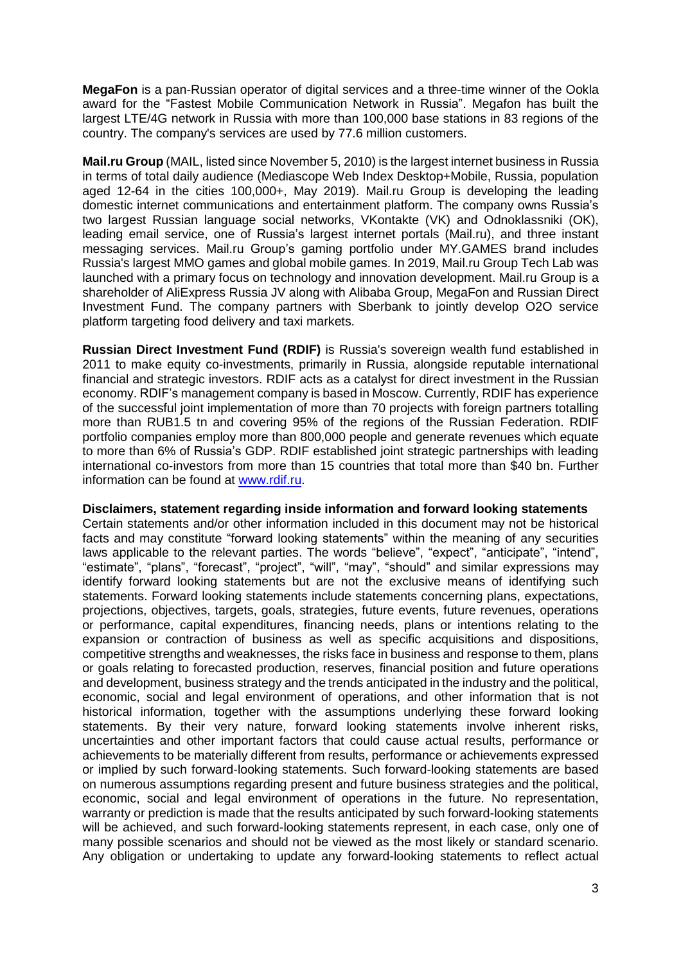**MegaFon** is a pan-Russian operator of digital services and a three-time winner of the Ookla award for the "Fastest Mobile Communication Network in Russia". Megafon has built the largest LTE/4G network in Russia with more than 100,000 base stations in 83 regions of the country. The company's services are used by 77.6 million customers.

**Mail.ru Group** (MAIL, listed since November 5, 2010) is the largest internet business in Russia in terms of total daily audience (Mediascope Web Index Desktop+Mobile, Russia, population aged 12-64 in the cities 100,000+, May 2019). Mail.ru Group is developing the leading domestic internet communications and entertainment platform. The company owns Russia's two largest Russian language social networks, VKontakte (VK) and Odnoklassniki (OK), leading email service, one of Russia's largest internet portals (Mail.ru), and three instant messaging services. Mail.ru Group's gaming portfolio under MY.GAMES brand includes Russia's largest MMO games and global mobile games. In 2019, Mail.ru Group Tech Lab was launched with a primary focus on technology and innovation development. Mail.ru Group is a shareholder of AliExpress Russia JV along with Alibaba Group, MegaFon and Russian Direct Investment Fund. The company partners with Sberbank to jointly develop O2O service platform targeting food delivery and taxi markets.

**Russian Direct Investment Fund (RDIF)** is Russia's sovereign wealth fund established in 2011 to make equity co-investments, primarily in Russia, alongside reputable international financial and strategic investors. RDIF acts as a catalyst for direct investment in the Russian economy. RDIF's management company is based in Moscow. Currently, RDIF has experience of the successful joint implementation of more than 70 projects with foreign partners totalling more than RUB1.5 tn and covering 95% of the regions of the Russian Federation. RDIF portfolio companies employ more than 800,000 people and generate revenues which equate to more than 6% of Russia's GDP. RDIF established joint strategic partnerships with leading international co-investors from more than 15 countries that total more than \$40 bn. Further information can be found at [www.rdif.ru.](http://www.rdif.ru/)

## **Disclaimers, statement regarding inside information and forward looking statements**

Certain statements and/or other information included in this document may not be historical facts and may constitute "forward looking statements" within the meaning of any securities laws applicable to the relevant parties. The words "believe", "expect", "anticipate", "intend", "estimate", "plans", "forecast", "project", "will", "may", "should" and similar expressions may identify forward looking statements but are not the exclusive means of identifying such statements. Forward looking statements include statements concerning plans, expectations, projections, objectives, targets, goals, strategies, future events, future revenues, operations or performance, capital expenditures, financing needs, plans or intentions relating to the expansion or contraction of business as well as specific acquisitions and dispositions, competitive strengths and weaknesses, the risks face in business and response to them, plans or goals relating to forecasted production, reserves, financial position and future operations and development, business strategy and the trends anticipated in the industry and the political, economic, social and legal environment of operations, and other information that is not historical information, together with the assumptions underlying these forward looking statements. By their very nature, forward looking statements involve inherent risks, uncertainties and other important factors that could cause actual results, performance or achievements to be materially different from results, performance or achievements expressed or implied by such forward-looking statements. Such forward-looking statements are based on numerous assumptions regarding present and future business strategies and the political, economic, social and legal environment of operations in the future. No representation, warranty or prediction is made that the results anticipated by such forward-looking statements will be achieved, and such forward-looking statements represent, in each case, only one of many possible scenarios and should not be viewed as the most likely or standard scenario. Any obligation or undertaking to update any forward-looking statements to reflect actual